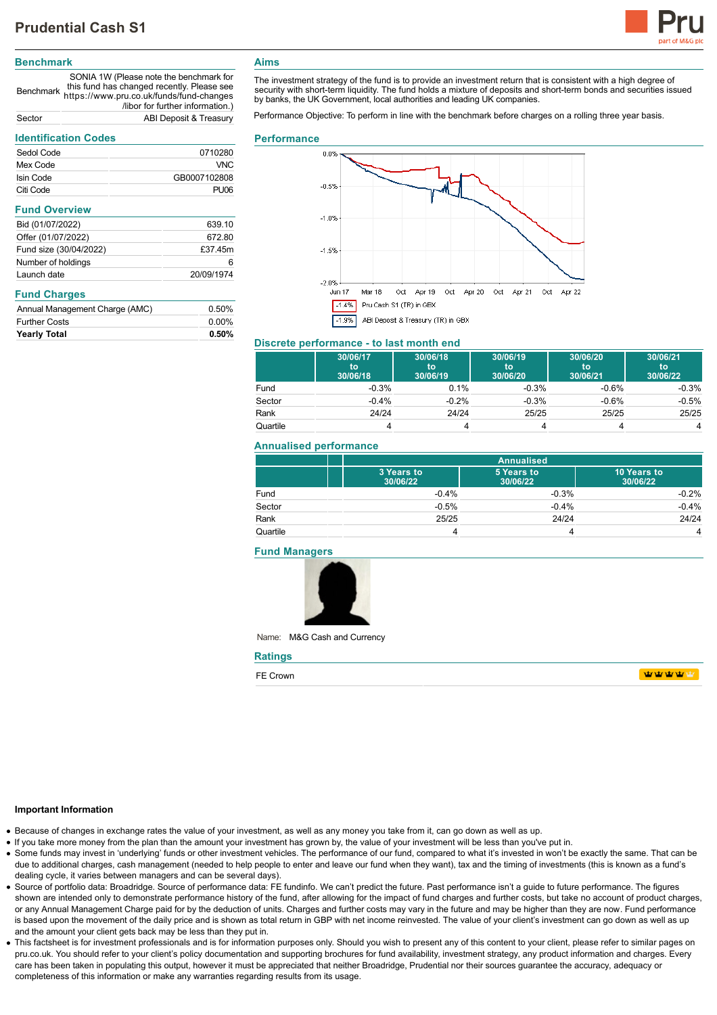

# **Benchmark**

Benchmark https://www.pru.co.uk/funds/fund-changes SONIA 1W (Please note the benchmark for this fund has changed recently. Please see /libor for further information.) Sector ABI Deposit & Treasury

# **Identification Codes**

| identification Codes           |              |  |
|--------------------------------|--------------|--|
| Sedol Code                     | 0710280      |  |
| Mex Code                       | VNC          |  |
| Isin Code                      | GB0007102808 |  |
| Citi Code                      | <b>PU06</b>  |  |
| <b>Fund Overview</b>           |              |  |
| Bid (01/07/2022)               | 639.10       |  |
| Offer (01/07/2022)             | 672.80       |  |
| Fund size (30/04/2022)         | £37.45m      |  |
| Number of holdings             | 6            |  |
| Launch date                    | 20/09/1974   |  |
| <b>Fund Charges</b>            |              |  |
| Annual Management Charge (AMC) | 0.50%        |  |
| <b>Further Costs</b>           | $0.00\%$     |  |
| <b>Yearly Total</b>            | $0.50\%$     |  |

## **Aims**

The investment strategy of the fund is to provide an investment return that is consistent with a high degree of security with short-term liquidity. The fund holds a mixture of deposits and short-term bonds and securities issued by banks, the UK Government, local authorities and leading UK companies.

Performance Objective: To perform in line with the benchmark before charges on a rolling three year basis.

#### **Performance**



#### **Discrete performance - to last month end**

|          | 30/06/17<br>to<br>30/06/18 | 30/06/18<br>to<br>30/06/19 | 30/06/19<br>to<br>30/06/20 | 30/06/20<br>to<br>30/06/21 | 30/06/21<br>to<br>30/06/22 |
|----------|----------------------------|----------------------------|----------------------------|----------------------------|----------------------------|
| Fund     | $-0.3%$                    | 0.1%                       | $-0.3%$                    | $-0.6%$                    | $-0.3%$                    |
| Sector   | $-0.4%$                    | $-0.2%$                    | $-0.3%$                    | $-0.6%$                    | $-0.5%$                    |
| Rank     | 24/24                      | 24/24                      | 25/25                      | 25/25                      | 25/25                      |
| Quartile |                            |                            |                            |                            | 4                          |

#### **Annualised performance**

|          | <b>Annualised</b>      |                        |                         |
|----------|------------------------|------------------------|-------------------------|
|          | 3 Years to<br>30/06/22 | 5 Years to<br>30/06/22 | 10 Years to<br>30/06/22 |
| Fund     | $-0.4%$                | $-0.3%$                | $-0.2%$                 |
| Sector   | $-0.5%$                | $-0.4%$                | $-0.4%$                 |
| Rank     | 25/25                  | 24/24                  | 24/24                   |
| Quartile |                        |                        | 4                       |

#### **Fund Managers**



Name: M&G Cash and Currency

| <b>Ratings</b> |                |
|----------------|----------------|
| FE Crown       | <b>TATALLA</b> |

## **Important Information**

- Because of changes in exchange rates the value of your investment, as well as any money you take from it, can go down as well as up.
- If you take more money from the plan than the amount your investment has grown by, the value of your investment will be less than you've put in.
- Some funds may invest in 'underlying' funds or other investment vehicles. The performance of our fund, compared to what it's invested in won't be exactly the same. That can be due to additional charges, cash management (needed to help people to enter and leave our fund when they want), tax and the timing of investments (this is known as a fund's dealing cycle, it varies between managers and can be several days).
- Source of portfolio data: Broadridge. Source of performance data: FE fundinfo. We can't predict the future. Past performance isn't a guide to future performance. The figures shown are intended only to demonstrate performance history of the fund, after allowing for the impact of fund charges and further costs, but take no account of product charges, or any Annual Management Charge paid for by the deduction of units. Charges and further costs may vary in the future and may be higher than they are now. Fund performance is based upon the movement of the daily price and is shown as total return in GBP with net income reinvested. The value of your client's investment can go down as well as up and the amount your client gets back may be less than they put in.
- This factsheet is for investment professionals and is for information purposes only. Should you wish to present any of this content to your client, please refer to similar pages on pru.co.uk. You should refer to your client's policy documentation and supporting brochures for fund availability, investment strategy, any product information and charges. Every care has been taken in populating this output, however it must be appreciated that neither Broadridge. Prudential nor their sources guarantee the accuracy, adequacy or completeness of this information or make any warranties regarding results from its usage.